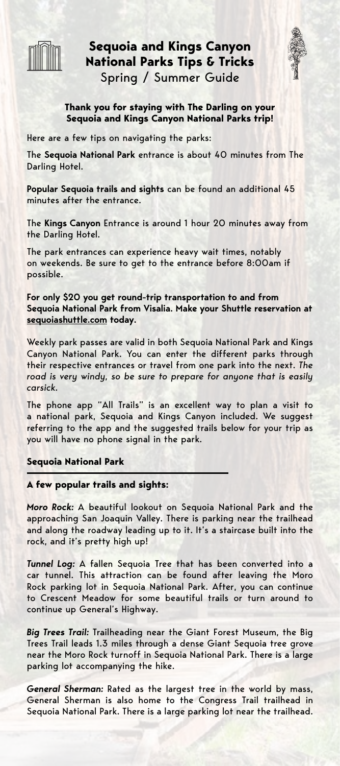

**Sequoia and Kings Canyon National Parks Tips & Tricks** Spring / Summer Guide



# **Thank you for staying with The Darling on your Sequoia and Kings Canyon National Parks trip!**

Here are a few tips on navigating the parks:

The **Sequoia National Park** entrance is about 40 minutes from The Darling Hotel.

**Popular Sequoia trails and sights** can be found an additional 45 minutes after the entrance.

The **Kings Canyon** Entrance is around 1 hour 20 minutes away from the Darling Hotel.

The park entrances can experience heavy wait times, notably on weekends. Be sure to get to the entrance before 8:00am if possible.

**For only \$20 you get round-trip transportation to and from Sequoia National Park from Visalia. Make your Shuttle reservation at [sequoiashuttle.com](http://sequoiashuttle.com) today.**

Weekly park passes are valid in both Sequoia National Park and Kings Canyon National Park. You can enter the different parks through their respective entrances or travel from one park into the next. *The*  road is very windy, so be sure to prepare for anyone that is easily *carsick.*

The phone app "All Trails" is an excellent way to plan a visit to a national park, Sequoia and Kings Canyon included. We suggest referring to the app and the suggested trails below for your trip as you will have no phone signal in the park.

**Sequoia National Park**

**A few popular trails and sights:**

*Moro Rock:* A beautiful lookout on Sequoia National Park and the approaching San Joaquin Valley. There is parking near the trailhead and along the roadway leading up to it. It's a staircase built into the rock, and it's pretty high up!

*Tunnel Log:* A fallen Sequoia Tree that has been converted into a car tunnel. This attraction can be found after leaving the Moro Rock parking lot in Sequoia National Park. After, you can continue to Crescent Meadow for some beautiful trails or turn around to continue up General's Highway.

*Big Trees Trail:* Trailheading near the Giant Forest Museum, the Big Trees Trail leads 1.3 miles through a dense Giant Sequoia tree grove near the Moro Rock turnoff in Sequoia National Park. There is a large parking lot accompanying the hike.

*General Sherman:* Rated as the largest tree in the world by mass, General Sherman is also home to the Congress Trail trailhead in Sequoia National Park. There is a large parking lot near the trailhead.